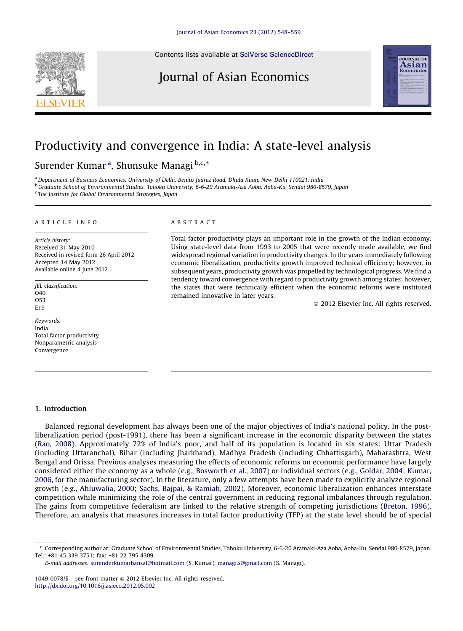Contents lists available at SciVerse [ScienceDirect](http://www.sciencedirect.com/science/journal/10490078)

## Journal of Asian Economics



# Productivity and convergence in India: A state-level analysis

### Surender Kumar<sup>a</sup>, Shunsuke Managi b,c,\*

<sup>a</sup> Denartment of Business Economics. University of Delhi, Benito Juarez Road, Dhula Kuan, New Delhi 110021, India <sup>b</sup> Graduate School of Environmental Studies, Tohoku University, 6-6-20 Aramaki-Aza Aoba, Aoba-Ku, Sendai 980-8579, Japan <sup>c</sup> The Institute for Global Environmental Strategies, Japan

#### A R T I C I E I N E O

Article history: Received 31 May 2010 Received in revised form 26 April 2012 Accepted 14 May 2012 Available online 4 June 2012

JEL classification: O40 O53 E19

Keywords: India Total factor productivity Nonparametric analysis Convergence

#### A B S T R A C T

Total factor productivity plays an important role in the growth of the Indian economy. Using state-level data from 1993 to 2005 that were recently made available, we find widespread regional variation in productivity changes. In the years immediately following economic liberalization, productivity growth improved technical efficiency; however, in subsequent years, productivity growth was propelled by technological progress. We find a tendency toward convergence with regard to productivity growth among states; however, the states that were technically efficient when the economic reforms were instituted remained innovative in later years.

- 2012 Elsevier Inc. All rights reserved.

#### 1. Introduction

Balanced regional development has always been one of the major objectives of India's national policy. In the postliberalization period (post-1991), there has been a significant increase in the economic disparity between the states (Rao, [2008](#page--1-0)). Approximately 72% of India's poor, and half of its population is located in six states: Uttar Pradesh (including Uttaranchal), Bihar (including Jharkhand), Madhya Pradesh (including Chhattisgarh), Maharashtra, West Bengal and Orissa. Previous analyses measuring the effects of economic reforms on economic performance have largely considered either the economy as a whole (e.g., [Bosworth](#page--1-0) et al., 2007) or individual sectors (e.g., [Goldar,](#page--1-0) 2004; Kumar, [2006,](#page--1-0) for the manufacturing sector). In the literature, only a few attempts have been made to explicitly analyze regional growth (e.g., [Ahluwalia,](#page--1-0) 2000; Sachs, Bajpai, & Ramiah, 2002). Moreover, economic liberalization enhances interstate competition while minimizing the role of the central government in reducing regional imbalances through regulation. The gains from competitive federalism are linked to the relative strength of competing jurisdictions [\(Breton,](#page--1-0) 1996). Therefore, an analysis that measures increases in total factor productivity (TFP) at the state level should be of special

<sup>\*</sup> Corresponding author at: Graduate School of Environmental Studies, Tohoku University, 6-6-20 Aramaki-Aza Aoba, Aoba-Ku, Sendai 980-8579, Japan. Tel.: +81 45 339 3751; fax: +81 22 795 4309.

E-mail addresses: [surenderkumarbansal@hotmail.com](mailto:surenderkumarbansal@hotmail.com) (S. Kumar), [managi.s@gmail.com](mailto:managi.s@gmail.com) (S. Managi).

 $1049-0078$  /\$ – see front matter  $\odot$  2012 Elsevier Inc. All rights reserved. <http://dx.doi.org/10.1016/j.asieco.2012.05.002>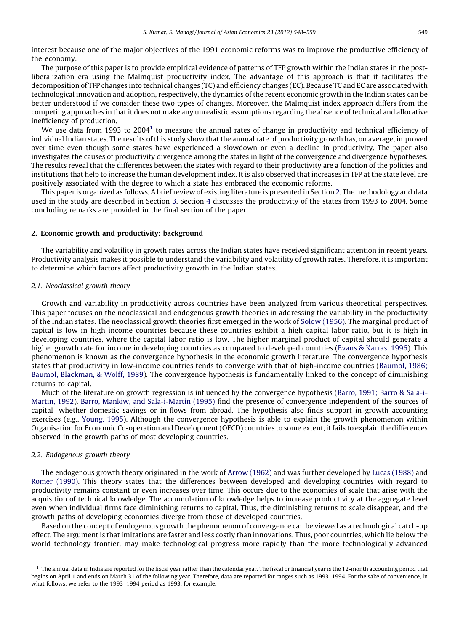interest because one of the major objectives of the 1991 economic reforms was to improve the productive efficiency of the economy.

The purpose of this paper is to provide empirical evidence of patterns of TFP growth within the Indian states in the postliberalization era using the Malmquist productivity index. The advantage of this approach is that it facilitates the decomposition of TFP changes into technical changes (TC) and efficiency changes (EC). Because TC and EC are associated with technological innovation and adoption, respectively, the dynamics of the recent economic growth in the Indian states can be better understood if we consider these two types of changes. Moreover, the Malmquist index approach differs from the competing approaches in that it does not make any unrealistic assumptions regarding the absence of technical and allocative inefficiency of production.

We use data from 1993 to 2004<sup>1</sup> to measure the annual rates of change in productivity and technical efficiency of individual Indian states. The results of this study show that the annual rate of productivity growth has, on average, improved over time even though some states have experienced a slowdown or even a decline in productivity. The paper also investigates the causes of productivity divergence among the states in light of the convergence and divergence hypotheses. The results reveal that the differences between the states with regard to their productivity are a function of the policies and institutions that help to increase the human development index. It is also observed that increases in TFP at the state level are positively associated with the degree to which a state has embraced the economic reforms.

This paper is organized as follows. A brief review of existing literature is presented in Section 2. The methodology and data used in the study are described in Section [3](#page--1-0). Section [4](#page--1-0) discusses the productivity of the states from 1993 to 2004. Some concluding remarks are provided in the final section of the paper.

#### 2. Economic growth and productivity: background

The variability and volatility in growth rates across the Indian states have received significant attention in recent years. Productivity analysis makes it possible to understand the variability and volatility of growth rates. Therefore, it is important to determine which factors affect productivity growth in the Indian states.

#### 2.1. Neoclassical growth theory

Growth and variability in productivity across countries have been analyzed from various theoretical perspectives. This paper focuses on the neoclassical and endogenous growth theories in addressing the variability in the productivity of the Indian states. The neoclassical growth theories first emerged in the work of Solow [\(1956\).](#page--1-0) The marginal product of capital is low in high-income countries because these countries exhibit a high capital labor ratio, but it is high in developing countries, where the capital labor ratio is low. The higher marginal product of capital should generate a higher growth rate for income in developing countries as compared to developed countries (Evans & [Karras,](#page--1-0) 1996). This phenomenon is known as the convergence hypothesis in the economic growth literature. The convergence hypothesis states that productivity in low-income countries tends to converge with that of high-income countries [\(Baumol,](#page--1-0) 1986; Baumol, [Blackman,](#page--1-0) & Wolff, 1989). The convergence hypothesis is fundamentally linked to the concept of diminishing returns to capital.

Much of the literature on growth regression is influenced by the convergence hypothesis (Barro, 1991; Barro & [Sala-i-](#page--1-0)[Martin,](#page--1-0) 1992). Barro, Mankiw, and [Sala-i-Martin](#page--1-0) (1995) find the presence of convergence independent of the sources of capital—whether domestic savings or in-flows from abroad. The hypothesis also finds support in growth accounting exercises (e.g., [Young,](#page--1-0) 1995). Although the convergence hypothesis is able to explain the growth phenomenon within Organisation for Economic Co-operation and Development(OECD) countries to some extent, itfails to explain the differences observed in the growth paths of most developing countries.

#### 2.2. Endogenous growth theory

The endogenous growth theory originated in the work of Arrow [\(1962\)](#page--1-0) and was further developed by Lucas [\(1988\)](#page--1-0) and Romer [\(1990\).](#page--1-0) This theory states that the differences between developed and developing countries with regard to productivity remains constant or even increases over time. This occurs due to the economies of scale that arise with the acquisition of technical knowledge. The accumulation of knowledge helps to increase productivity at the aggregate level even when individual firms face diminishing returns to capital. Thus, the diminishing returns to scale disappear, and the growth paths of developing economies diverge from those of developed countries.

Based on the concept of endogenous growth the phenomenon of convergence can be viewed as a technological catch-up effect. The argumentis thatimitations are faster and less costly than innovations. Thus, poor countries, which lie below the world technology frontier, may make technological progress more rapidly than the more technologically advanced

 $^{\rm 1}$  The annual data in India are reported for the fiscal year rather than the calendar year. The fiscal or financial year is the 12-month accounting period that begins on April 1 and ends on March 31 of the following year. Therefore, data are reported for ranges such as 1993–1994. For the sake of convenience, in what follows, we refer to the 1993–1994 period as 1993, for example.